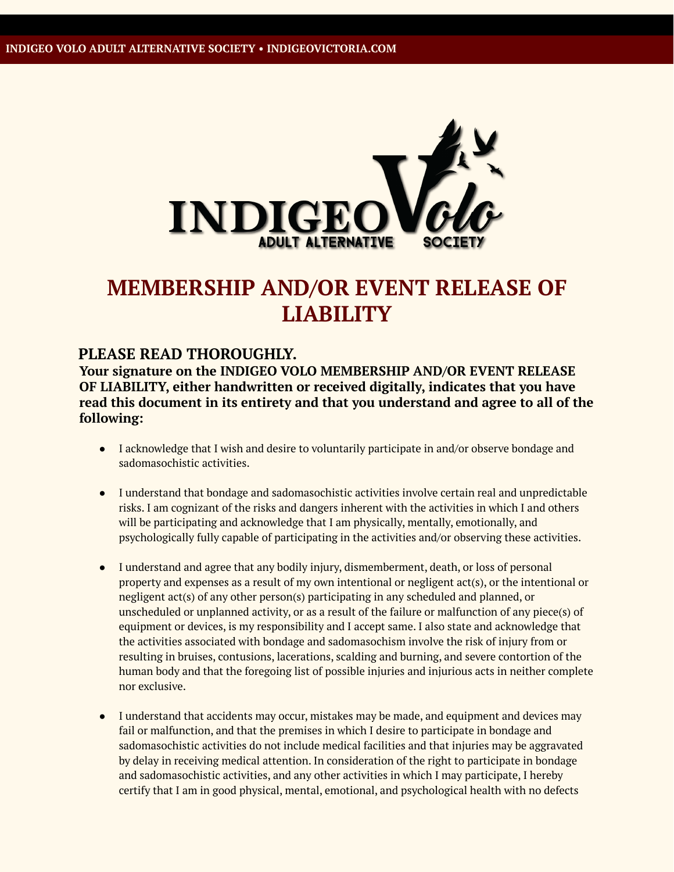

## **MEMBERSHIP AND/OR EVENT RELEASE OF LIABILITY**

## **PLEASE READ THOROUGHLY.**

**Your signature on the INDIGEO VOLO MEMBERSHIP AND/OR EVENT RELEASE OF LIABILITY, either handwritten or received digitally, indicates that you have read this document in its entirety and that you understand and agree to all of the following:**

- I acknowledge that I wish and desire to voluntarily participate in and/or observe bondage and sadomasochistic activities.
- I understand that bondage and sadomasochistic activities involve certain real and unpredictable risks. I am cognizant of the risks and dangers inherent with the activities in which I and others will be participating and acknowledge that I am physically, mentally, emotionally, and psychologically fully capable of participating in the activities and/or observing these activities.
- I understand and agree that any bodily injury, dismemberment, death, or loss of personal property and expenses as a result of my own intentional or negligent act(s), or the intentional or negligent act(s) of any other person(s) participating in any scheduled and planned, or unscheduled or unplanned activity, or as a result of the failure or malfunction of any piece(s) of equipment or devices, is my responsibility and I accept same. I also state and acknowledge that the activities associated with bondage and sadomasochism involve the risk of injury from or resulting in bruises, contusions, lacerations, scalding and burning, and severe contortion of the human body and that the foregoing list of possible injuries and injurious acts in neither complete nor exclusive.
- I understand that accidents may occur, mistakes may be made, and equipment and devices may fail or malfunction, and that the premises in which I desire to participate in bondage and sadomasochistic activities do not include medical facilities and that injuries may be aggravated by delay in receiving medical attention. In consideration of the right to participate in bondage and sadomasochistic activities, and any other activities in which I may participate, I hereby certify that I am in good physical, mental, emotional, and psychological health with no defects